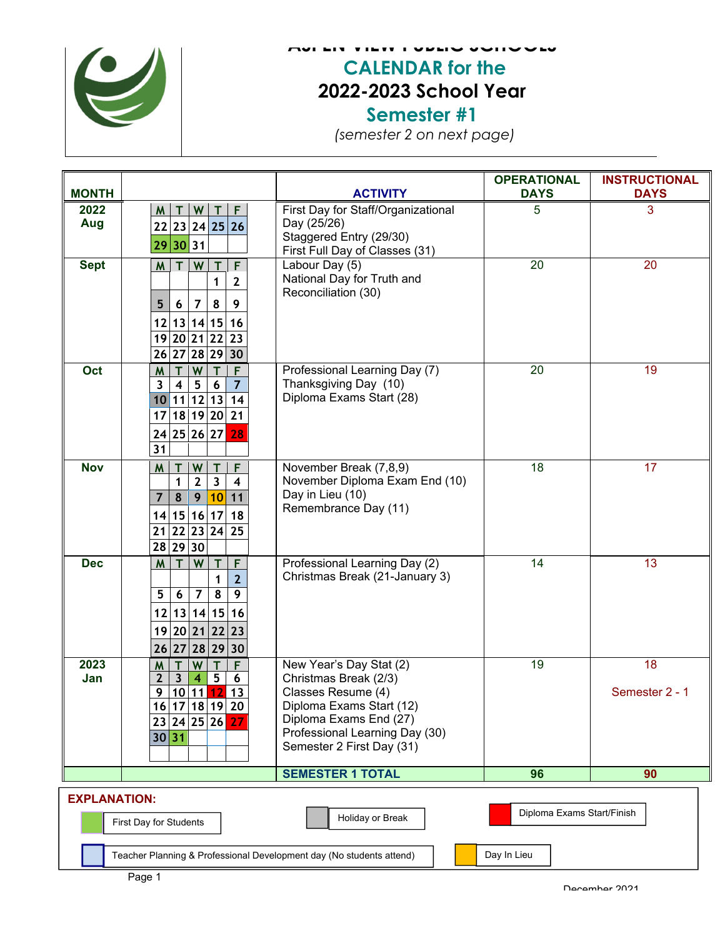

## **ASPEN VIEW PUBLIC SCHOOLS CALENDAR for the 2022-2023 School Year Semester #1**

*(semester 2 on next page)*

| <b>MONTH</b>                                                                                    |                                                                                                                                                                                                                                  | <b>ACTIVITY</b>                                                                                                                                                                             | <b>OPERATIONAL</b><br><b>DAYS</b> | <b>INSTRUCTIONAL</b><br><b>DAYS</b> |  |  |  |
|-------------------------------------------------------------------------------------------------|----------------------------------------------------------------------------------------------------------------------------------------------------------------------------------------------------------------------------------|---------------------------------------------------------------------------------------------------------------------------------------------------------------------------------------------|-----------------------------------|-------------------------------------|--|--|--|
| 2022<br>Aug                                                                                     | W<br>F.<br>M<br>22 23 24 25 26<br>29 30 31                                                                                                                                                                                       | First Day for Staff/Organizational<br>Day (25/26)<br>Staggered Entry (29/30)<br>First Full Day of Classes (31)                                                                              | 5                                 | 3                                   |  |  |  |
| <b>Sept</b>                                                                                     | W<br>F<br><b>M</b><br>T<br>1<br>$\overline{2}$<br>5<br>8<br>9<br>6<br>7<br>13 14 15<br>12<br>16<br>19 20 21 22 23<br>26 27<br>28 29 30                                                                                           | Labour Day (5)<br>National Day for Truth and<br>Reconciliation (30)                                                                                                                         | 20                                | 20                                  |  |  |  |
| Oct                                                                                             | W<br>F<br>M<br>$\overline{7}$<br>$5\overline{)}$<br>$6\phantom{1}6$<br>$\overline{\mathbf{3}}$<br>$\overline{\mathbf{4}}$<br>11 12 13 <br>14<br>10<br>18 19 20<br>21<br>17<br>24 25 26 27<br>28<br>$\overline{31}$               | Professional Learning Day (7)<br>Thanksgiving Day (10)<br>Diploma Exams Start (28)                                                                                                          | $\overline{20}$                   | 19                                  |  |  |  |
| <b>Nov</b>                                                                                      | W<br>T<br>W<br>T<br>F<br>$\overline{\mathbf{3}}$<br>$\overline{2}$<br>$\mathbf{1}$<br>$\overline{\mathbf{4}}$<br>$\overline{7}$<br>9<br> 10 <br>$\pmb{8}$<br>11<br>14 15 16 17 <br>18<br>$\overline{21 22 23 24 25}$<br>28 29 30 | November Break (7,8,9)<br>November Diploma Exam End (10)<br>Day in Lieu (10)<br>Remembrance Day (11)                                                                                        | 18                                | 17                                  |  |  |  |
| <b>Dec</b>                                                                                      | W<br>F<br>M<br>$\overline{2}$<br>1<br>8<br>5<br>$\overline{7}$<br>9<br>6<br>12 13 14 15 16<br>19 20 21 22 23<br>26 27 28 29 30                                                                                                   | Professional Learning Day (2)<br>Christmas Break (21-January 3)                                                                                                                             | 14                                | 13                                  |  |  |  |
| 2023<br>Jan                                                                                     | <b>W</b><br>T<br>M<br>T<br>F<br>5 <sub>5</sub><br>$\mathbf{2}$<br>$\mathbf{3}$<br>6<br>4<br>10 11 12<br>9<br>13<br>16 17 18 19 <br>20<br>27<br>23 24 25 26<br>30 31                                                              | New Year's Day Stat (2)<br>Christmas Break (2/3)<br>Classes Resume (4)<br>Diploma Exams Start (12)<br>Diploma Exams End (27)<br>Professional Learning Day (30)<br>Semester 2 First Day (31) | 19                                | 18<br>Semester 2 - 1                |  |  |  |
|                                                                                                 |                                                                                                                                                                                                                                  | <b>SEMESTER 1 TOTAL</b>                                                                                                                                                                     | 96                                | 90                                  |  |  |  |
| <b>EXPLANATION:</b><br>Diploma Exams Start/Finish<br>Holiday or Break<br>First Day for Students |                                                                                                                                                                                                                                  |                                                                                                                                                                                             |                                   |                                     |  |  |  |
| Day In Lieu<br>Teacher Planning & Professional Development day (No students attend)             |                                                                                                                                                                                                                                  |                                                                                                                                                                                             |                                   |                                     |  |  |  |